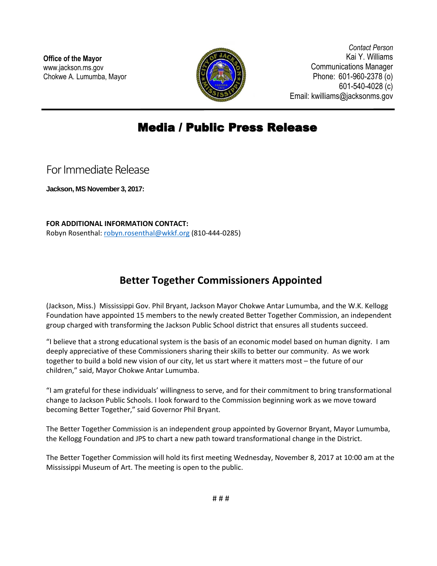

*Contact Person* Kai Y. Williams Communications Manager Phone: 601-960-2378 (o) 601-540-4028 (c) Email: kwilliams@jacksonms.gov

## Media / Public Press Release

For Immediate Release

**Jackson, MS November 3, 2017:**

**FOR ADDITIONAL INFORMATION CONTACT:** Robyn Rosenthal: [robyn.rosenthal@wkkf.org](mailto:robyn.rosenthal@wkkf.org) (810-444-0285)

٦

## **Better Together Commissioners Appointed**

(Jackson, Miss.) Mississippi Gov. Phil Bryant, Jackson Mayor Chokwe Antar Lumumba, and the W.K. Kellogg Foundation have appointed 15 members to the newly created Better Together Commission, an independent group charged with transforming the Jackson Public School district that ensures all students succeed.

"I believe that a strong educational system is the basis of an economic model based on human dignity. I am deeply appreciative of these Commissioners sharing their skills to better our community. As we work together to build a bold new vision of our city, let us start where it matters most – the future of our children," said, Mayor Chokwe Antar Lumumba.

"I am grateful for these individuals' willingness to serve, and for their commitment to bring transformational change to Jackson Public Schools. I look forward to the Commission beginning work as we move toward becoming Better Together," said Governor Phil Bryant.

The Better Together Commission is an independent group appointed by Governor Bryant, Mayor Lumumba, the Kellogg Foundation and JPS to chart a new path toward transformational change in the District.

The Better Together Commission will hold its first meeting Wednesday, November 8, 2017 at 10:00 am at the Mississippi Museum of Art. The meeting is open to the public.